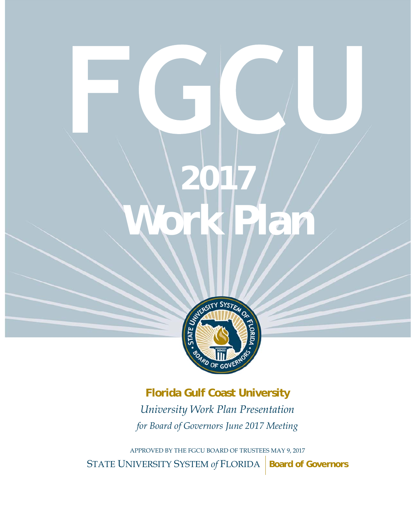# **Work Plan 2017 Work Plan**



**Florida Gulf Coast University** *University Work Plan Presentation for Board of Governors June 2017 Meeting* 

APPROVED BY THE FGCU BOARD OF TRUSTEES MAY 9, 2017 STATE UNIVERSITY SYSTEM of FLORIDA **Board of Governors**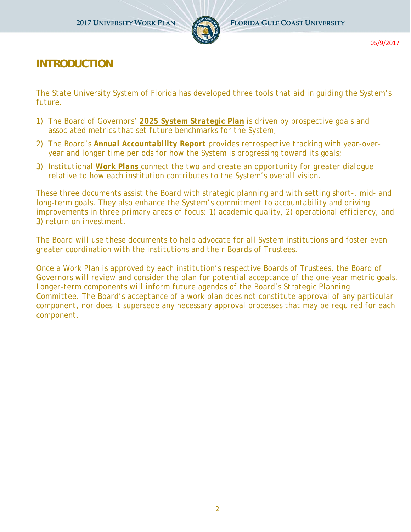

## **INTRODUCTION**

*The State University System of Florida has developed three tools that aid in guiding the System's future.* 

- *1) The Board of Governors' 2025 System Strategic Plan is driven by prospective goals and associated metrics that set future benchmarks for the System;*
- *2) The Board's Annual Accountability Report provides retrospective tracking with year-overyear and longer time periods for how the System is progressing toward its goals;*
- *3) Institutional Work Plans connect the two and create an opportunity for greater dialogue relative to how each institution contributes to the System's overall vision.*

*These three documents assist the Board with strategic planning and with setting short-, mid- and long-term goals. They also enhance the System's commitment to accountability and driving improvements in three primary areas of focus: 1) academic quality, 2) operational efficiency, and 3) return on investment.* 

*The Board will use these documents to help advocate for all System institutions and foster even greater coordination with the institutions and their Boards of Trustees.* 

*Once a Work Plan is approved by each institution's respective Boards of Trustees, the Board of Governors will review and consider the plan for potential acceptance of the one-year metric goals. Longer-term components will inform future agendas of the Board's Strategic Planning Committee. The Board's acceptance of a work plan does not constitute approval of any particular component, nor does it supersede any necessary approval processes that may be required for each component.*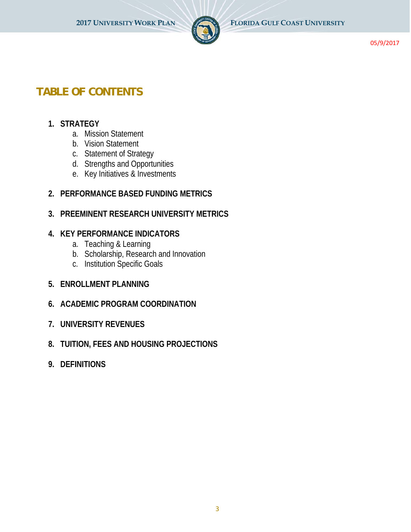

# **TABLE OF CONTENTS**

#### **1. STRATEGY**

- a. Mission Statement
- b. Vision Statement
- c. Statement of Strategy
- d. Strengths and Opportunities
- e. Key Initiatives & Investments

#### **2. PERFORMANCE BASED FUNDING METRICS**

#### **3. PREEMINENT RESEARCH UNIVERSITY METRICS**

#### **4. KEY PERFORMANCE INDICATORS**

- a. Teaching & Learning
- b. Scholarship, Research and Innovation
- c. Institution Specific Goals
- **5. ENROLLMENT PLANNING**
- **6. ACADEMIC PROGRAM COORDINATION**
- **7. UNIVERSITY REVENUES**
- **8. TUITION, FEES AND HOUSING PROJECTIONS**
- **9. DEFINITIONS**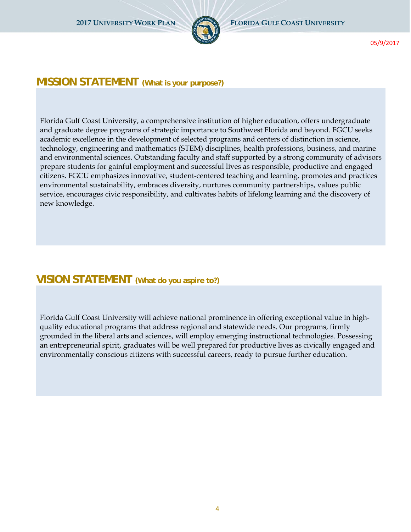

#### **MISSION STATEMENT (What is your purpose?)**

Florida Gulf Coast University, a comprehensive institution of higher education, offers undergraduate and graduate degree programs of strategic importance to Southwest Florida and beyond. FGCU seeks academic excellence in the development of selected programs and centers of distinction in science, technology, engineering and mathematics (STEM) disciplines, health professions, business, and marine and environmental sciences. Outstanding faculty and staff supported by a strong community of advisors prepare students for gainful employment and successful lives as responsible, productive and engaged citizens. FGCU emphasizes innovative, student-centered teaching and learning, promotes and practices environmental sustainability, embraces diversity, nurtures community partnerships, values public service, encourages civic responsibility, and cultivates habits of lifelong learning and the discovery of new knowledge.

#### **VISION STATEMENT (What do you aspire to?)**

Florida Gulf Coast University will achieve national prominence in offering exceptional value in highquality educational programs that address regional and statewide needs. Our programs, firmly grounded in the liberal arts and sciences, will employ emerging instructional technologies. Possessing an entrepreneurial spirit, graduates will be well prepared for productive lives as civically engaged and environmentally conscious citizens with successful careers, ready to pursue further education.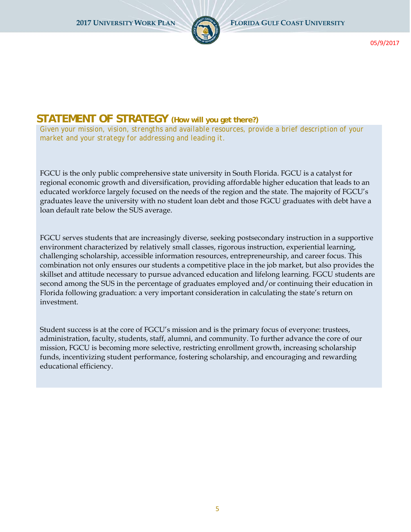

## **STATEMENT OF STRATEGY (How will you get there?)**

*Given your mission, vision, strengths and available resources, provide a brief description of your market and your strategy for addressing and leading it.* 

FGCU is the only public comprehensive state university in South Florida. FGCU is a catalyst for regional economic growth and diversification, providing affordable higher education that leads to an educated workforce largely focused on the needs of the region and the state. The majority of FGCU's graduates leave the university with no student loan debt and those FGCU graduates with debt have a loan default rate below the SUS average.

FGCU serves students that are increasingly diverse, seeking postsecondary instruction in a supportive environment characterized by relatively small classes, rigorous instruction, experiential learning, challenging scholarship, accessible information resources, entrepreneurship, and career focus. This combination not only ensures our students a competitive place in the job market, but also provides the skillset and attitude necessary to pursue advanced education and lifelong learning. FGCU students are second among the SUS in the percentage of graduates employed and/or continuing their education in Florida following graduation: a very important consideration in calculating the state's return on investment.

Student success is at the core of FGCU's mission and is the primary focus of everyone: trustees, administration, faculty, students, staff, alumni, and community. To further advance the core of our mission, FGCU is becoming more selective, restricting enrollment growth, increasing scholarship funds, incentivizing student performance, fostering scholarship, and encouraging and rewarding educational efficiency.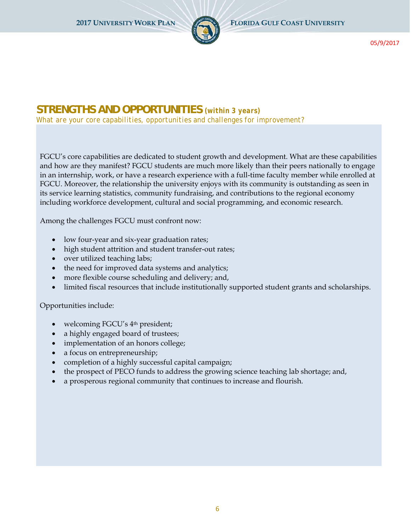

# **STRENGTHS AND OPPORTUNITIES** *(within 3 years)*

*What are your core capabilities, opportunities and challenges for improvement?* 

FGCU's core capabilities are dedicated to student growth and development. What are these capabilities and how are they manifest? FGCU students are much more likely than their peers nationally to engage in an internship, work, or have a research experience with a full-time faculty member while enrolled at FGCU. Moreover, the relationship the university enjoys with its community is outstanding as seen in its service learning statistics, community fundraising, and contributions to the regional economy including workforce development, cultural and social programming, and economic research.

Among the challenges FGCU must confront now:

- low four-year and six-year graduation rates;
- high student attrition and student transfer-out rates;
- over utilized teaching labs;
- the need for improved data systems and analytics;
- more flexible course scheduling and delivery; and,
- limited fiscal resources that include institutionally supported student grants and scholarships.

#### Opportunities include:

- welcoming FGCU's 4<sup>th</sup> president;
- a highly engaged board of trustees;
- implementation of an honors college;
- a focus on entrepreneurship;
- completion of a highly successful capital campaign;
- the prospect of PECO funds to address the growing science teaching lab shortage; and,
- a prosperous regional community that continues to increase and flourish.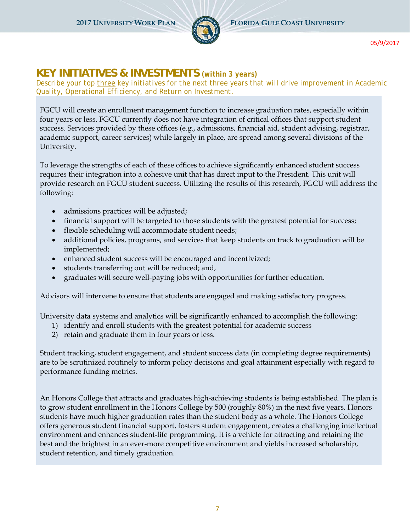

# **KEY INITIATIVES & INVESTMENTS** *(within 3 years)*

*Describe your top three key initiatives for the next three years that will drive improvement in Academic Quality, Operational Efficiency, and Return on Investment.*

FGCU will create an enrollment management function to increase graduation rates, especially within four years or less. FGCU currently does not have integration of critical offices that support student success. Services provided by these offices (e.g., admissions, financial aid, student advising, registrar, academic support, career services) while largely in place, are spread among several divisions of the University.

To leverage the strengths of each of these offices to achieve significantly enhanced student success requires their integration into a cohesive unit that has direct input to the President. This unit will provide research on FGCU student success. Utilizing the results of this research, FGCU will address the following:

- admissions practices will be adjusted;
- financial support will be targeted to those students with the greatest potential for success;
- flexible scheduling will accommodate student needs;
- additional policies, programs, and services that keep students on track to graduation will be implemented;
- enhanced student success will be encouraged and incentivized;
- students transferring out will be reduced; and,
- graduates will secure well-paying jobs with opportunities for further education.

Advisors will intervene to ensure that students are engaged and making satisfactory progress.

University data systems and analytics will be significantly enhanced to accomplish the following:

- 1) identify and enroll students with the greatest potential for academic success
- 2) retain and graduate them in four years or less.

Student tracking, student engagement, and student success data (in completing degree requirements) are to be scrutinized routinely to inform policy decisions and goal attainment especially with regard to performance funding metrics.

An Honors College that attracts and graduates high-achieving students is being established. The plan is to grow student enrollment in the Honors College by 500 (roughly 80%) in the next five years. Honors students have much higher graduation rates than the student body as a whole. The Honors College offers generous student financial support, fosters student engagement, creates a challenging intellectual environment and enhances student-life programming. It is a vehicle for attracting and retaining the best and the brightest in an ever-more competitive environment and yields increased scholarship, student retention, and timely graduation.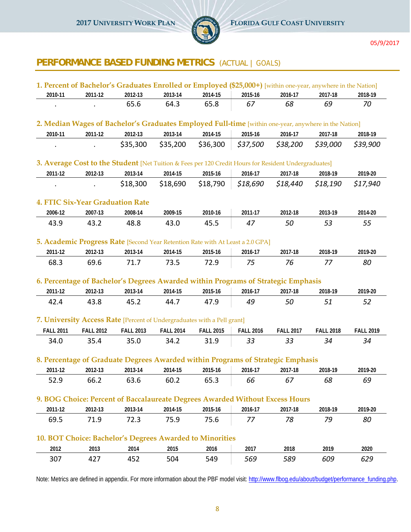

# **PERFORMANCE BASED FUNDING METRICS** (ACTUAL | *GOALS*)

|                  |                                         | 1. Percent of Bachelor's Graduates Enrolled or Employed (\$25,000+) [within one-year, anywhere in the Nation] |                  |                  |                  |                  |                  |                  |
|------------------|-----------------------------------------|---------------------------------------------------------------------------------------------------------------|------------------|------------------|------------------|------------------|------------------|------------------|
| 2010-11          | 2011-12                                 | 2012-13                                                                                                       | 2013-14          | 2014-15          | 2015-16          | 2016-17          | 2017-18          | 2018-19          |
|                  |                                         | 65.6                                                                                                          | 64.3             | 65.8             | 67               | 68               | 69               | 70               |
|                  |                                         | 2. Median Wages of Bachelor's Graduates Employed Full-time [within one-year, anywhere in the Nation]          |                  |                  |                  |                  |                  |                  |
| 2010-11          | 2011-12                                 | 2012-13                                                                                                       | 2013-14          | 2014-15          | 2015-16          | 2016-17          | 2017-18          | 2018-19          |
|                  |                                         | \$35,300                                                                                                      | \$35,200         | \$36,300         | \$37,500         | \$38,200         | \$39,000         | \$39,900         |
|                  |                                         | 3. Average Cost to the Student [Net Tuition & Fees per 120 Credit Hours for Resident Undergraduates]          |                  |                  |                  |                  |                  |                  |
| 2011-12          | 2012-13                                 | 2013-14                                                                                                       | 2014-15          | 2015-16          | 2016-17          | 2017-18          | 2018-19          | 2019-20          |
|                  |                                         | \$18,300                                                                                                      | \$18,690         | \$18,790         | \$18,690         | \$18,440         | \$18,190         | \$17,940         |
|                  | <b>4. FTIC Six-Year Graduation Rate</b> |                                                                                                               |                  |                  |                  |                  |                  |                  |
| 2006-12          | 2007-13                                 | 2008-14                                                                                                       | 2009-15          | 2010-16          | 2011-17          | 2012-18          | 2013-19          | 2014-20          |
| 43.9             | 43.2                                    | 48.8                                                                                                          | 43.0             | 45.5             | 47               | 50               | 53               | 55               |
|                  |                                         | 5. Academic Progress Rate [Second Year Retention Rate with At Least a 2.0 GPA]                                |                  |                  |                  |                  |                  |                  |
| 2011-12          | 2012-13                                 | 2013-14                                                                                                       | 2014-15          | 2015-16          | 2016-17          | 2017-18          | 2018-19          | 2019-20          |
| 68.3             | 69.6                                    | 71.7                                                                                                          | 73.5             | 72.9             | 75               | 76               | 77               | 80               |
|                  |                                         | 6. Percentage of Bachelor's Degrees Awarded within Programs of Strategic Emphasis                             |                  |                  |                  |                  |                  |                  |
| 2011-12          | 2012-13                                 | 2013-14                                                                                                       | 2014-15          | 2015-16          | 2016-17          | 2017-18          | 2018-19          | 2019-20          |
| 42.4             | 43.8                                    | 45.2                                                                                                          | 44.7             | 47.9             | 49               | 50               | 51               | 52               |
|                  |                                         | 7. University Access Rate [Percent of Undergraduates with a Pell grant]                                       |                  |                  |                  |                  |                  |                  |
| <b>FALL 2011</b> | <b>FALL 2012</b>                        | <b>FALL 2013</b>                                                                                              | <b>FALL 2014</b> | <b>FALL 2015</b> | <b>FALL 2016</b> | <b>FALL 2017</b> | <b>FALL 2018</b> | <b>FALL 2019</b> |
| 34.0             | 35.4                                    | 35.0                                                                                                          | 34.2             | 31.9             | 33               | 33               | 34               | 34               |
|                  |                                         | 8. Percentage of Graduate Degrees Awarded within Programs of Strategic Emphasis                               |                  |                  |                  |                  |                  |                  |
| 2011-12          | 2012-13                                 | 2013-14                                                                                                       | 2014-15          | 2015-16          | 2016-17          | 2017-18          | 2018-19          | 2019-20          |
| 52.9             | 66.2                                    | 63.6                                                                                                          | 60.2             | 65.3             | 66               | 67               | 68               | 69               |
|                  |                                         | 9. BOG Choice: Percent of Baccalaureate Degrees Awarded Without Excess Hours                                  |                  |                  |                  |                  |                  |                  |
| 2011-12          | 2012-13                                 | 2013-14                                                                                                       | 2014-15          | 2015-16          | 2016-17          | 2017-18          | 2018-19          | 2019-20          |
| 69.5             | 71.9                                    | 72.3                                                                                                          | 75.9             | 75.6             | 77               | 78               | 79               | 80               |
|                  |                                         | 10. BOT Choice: Bachelor's Degrees Awarded to Minorities                                                      |                  |                  |                  |                  |                  |                  |
| 2012             | 2013                                    | 2014                                                                                                          | 2015             | 2016             | 2017             | 2018             | 2019             | 2020             |
| 307              | 427                                     | 452                                                                                                           | 504              | 549              | 569              | 589              | 609              | 629              |

Note: Metrics are defined in appendix. For more information about the PBF model visit: http://www.flbog.edu/about/budget/performance\_funding.php.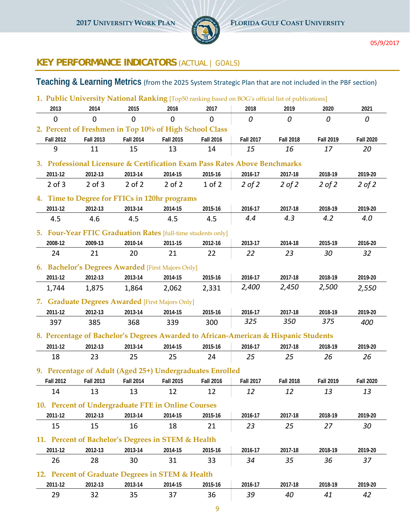

# **KEY PERFORMANCE INDICATORS** (ACTUAL | *GOALS*)

## **Teaching & Learning Metrics** (from the 2025 System Strategic Plan that are not included in the PBF section)

|                  | 1. Public University National Ranking [Top50 ranking based on BOG's official list of publications] |                  |                  |                  |                  |                  |                  |                  |
|------------------|----------------------------------------------------------------------------------------------------|------------------|------------------|------------------|------------------|------------------|------------------|------------------|
| 2013             | 2014                                                                                               | 2015             | 2016             | 2017             | 2018             | 2019             | 2020             | 2021             |
| $\mathbf 0$      | $\Omega$                                                                                           | 0                | $\mathbf 0$      | $\mathbf 0$      | 0                | 0                | 0                | 0                |
|                  | 2. Percent of Freshmen in Top 10% of High School Class                                             |                  |                  |                  |                  |                  |                  |                  |
| <b>Fall 2012</b> | <b>Fall 2013</b>                                                                                   | <b>Fall 2014</b> | <b>Fall 2015</b> | <b>Fall 2016</b> | <b>Fall 2017</b> | <b>Fall 2018</b> | <b>Fall 2019</b> | <b>Fall 2020</b> |
| 9                | 11                                                                                                 | 15               | 13               | 14               | 15               | 16               | 17               | 20               |
|                  | 3. Professional Licensure & Certification Exam Pass Rates Above Benchmarks                         |                  |                  |                  |                  |                  |                  |                  |
| 2011-12          | 2012-13                                                                                            | 2013-14          | 2014-15          | 2015-16          | 2016-17          | 2017-18          | 2018-19          | 2019-20          |
| $2$ of $3$       | $2$ of $3$                                                                                         | $2$ of $2$       | $2$ of $2$       | $1$ of $2$       | $2$ of $2$       | $2$ of $2$       | $2$ of $2$       | $2$ of $2$       |
|                  |                                                                                                    |                  |                  |                  |                  |                  |                  |                  |
|                  | 4. Time to Degree for FTICs in 120hr programs                                                      |                  |                  |                  |                  |                  |                  |                  |
| 2011-12          | 2012-13                                                                                            | 2013-14          | 2014-15          | 2015-16          | 2016-17<br>4.4   | 2017-18<br>4.3   | 2018-19<br>4.2   | 2019-20<br>4.0   |
| 4.5              | 4.6                                                                                                | 4.5              | 4.5              | 4.5              |                  |                  |                  |                  |
|                  | 5. Four-Year FTIC Graduation Rates [full-time students only]                                       |                  |                  |                  |                  |                  |                  |                  |
| 2008-12          | 2009-13                                                                                            | 2010-14          | 2011-15          | 2012-16          | 2013-17          | 2014-18          | 2015-19          | 2016-20          |
| 24               | 21                                                                                                 | 20               | 21               | 22               | 22               | 23               | 30               | 32               |
|                  | 6. Bachelor's Degrees Awarded [First Majors Only]                                                  |                  |                  |                  |                  |                  |                  |                  |
| 2011-12          | 2012-13                                                                                            | 2013-14          | 2014-15          | 2015-16          | 2016-17          | 2017-18          | 2018-19          | 2019-20          |
| 1,744            | 1,875                                                                                              | 1,864            | 2,062            | 2,331            | 2,400            | 2,450            | 2,500            | 2,550            |
|                  | 7. Graduate Degrees Awarded [First Majors Only]                                                    |                  |                  |                  |                  |                  |                  |                  |
| 2011-12          | 2012-13                                                                                            | 2013-14          | 2014-15          | 2015-16          | 2016-17          | 2017-18          | 2018-19          | 2019-20          |
| 397              | 385                                                                                                | 368              | 339              | 300              | 325              | 350              | 375              | 400              |
|                  | 8. Percentage of Bachelor's Degrees Awarded to African-American & Hispanic Students                |                  |                  |                  |                  |                  |                  |                  |
| 2011-12          | 2012-13                                                                                            | 2013-14          | 2014-15          | 2015-16          | 2016-17          | 2017-18          | 2018-19          | 2019-20          |
| 18               | 23                                                                                                 | 25               | 25               | 24               | 25               | 25               | 26               | 26               |
|                  |                                                                                                    |                  |                  |                  |                  |                  |                  |                  |
|                  | 9. Percentage of Adult (Aged 25+) Undergraduates Enrolled                                          |                  |                  |                  |                  |                  |                  |                  |
| <b>Fall 2012</b> | <b>Fall 2013</b>                                                                                   | <b>Fall 2014</b> | <b>Fall 2015</b> | <b>Fall 2016</b> | <b>Fall 2017</b> | <b>Fall 2018</b> | <b>Fall 2019</b> | <b>Fall 2020</b> |
| 14               | 13                                                                                                 | 13               | 12               | 12               | 12               | 12               | 13               | 13               |
|                  | 10. Percent of Undergraduate FTE in Online Courses                                                 |                  |                  |                  |                  |                  |                  |                  |
| 2011-12          | 2012-13                                                                                            | 2013-14          | 2014-15          | 2015-16          | 2016-17          | 2017-18          | 2018-19          | 2019-20          |
| 15               | 15                                                                                                 | 16               | 18               | 21               | 23               | 25               | 27               | 30               |
|                  | 11. Percent of Bachelor's Degrees in STEM & Health                                                 |                  |                  |                  |                  |                  |                  |                  |
| 2011-12          | 2012-13                                                                                            | 2013-14          | 2014-15          | 2015-16          | 2016-17          | 2017-18          | 2018-19          | 2019-20          |
| 26               | 28                                                                                                 | 30               | 31               | 33               | 34               | 35               | 36               | 37               |
|                  | 12. Percent of Graduate Degrees in STEM & Health                                                   |                  |                  |                  |                  |                  |                  |                  |
| 2011-12          | 2012-13                                                                                            | 2013-14          | 2014-15          | 2015-16          | 2016-17          | 2017-18          | 2018-19          | 2019-20          |
| 29               | 32                                                                                                 | 35               | 37               | 36               | 39               | 40               | 41               | 42               |
|                  |                                                                                                    |                  |                  |                  |                  |                  |                  |                  |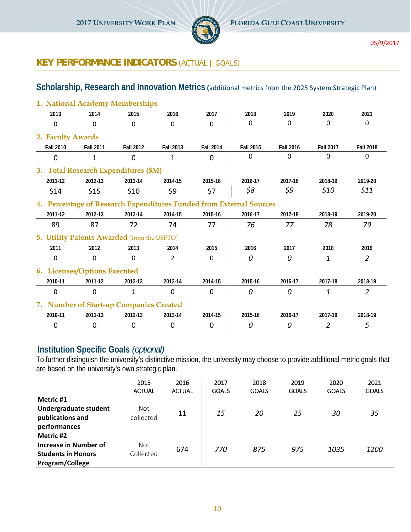

## **KEY PERFORMANCE INDICATORS** (ACTUAL | *GOALS*)

#### **Scholarship, Research and Innovation Metrics (**additional metrics from the 2025 System Strategic Plan)

|                   | 1. National Academy Memberships                                     |                  |                  |                  |                  |                  |                  |                  |
|-------------------|---------------------------------------------------------------------|------------------|------------------|------------------|------------------|------------------|------------------|------------------|
| 2013              | 2014                                                                | 2015             | 2016             | 2017             | 2018             | 2019             | 2020             | 2021             |
| $\mathbf 0$       | $\Omega$                                                            | $\mathbf 0$      | 0                | $\mathbf 0$      | $\Omega$         | $\Omega$         | $\Omega$         | $\Omega$         |
| 2. Faculty Awards |                                                                     |                  |                  |                  |                  |                  |                  |                  |
| <b>Fall 2010</b>  | <b>Fall 2011</b>                                                    | <b>Fall 2012</b> | <b>Fall 2013</b> | <b>Fall 2014</b> | <b>Fall 2015</b> | <b>Fall 2016</b> | <b>Fall 2017</b> | <b>Fall 2018</b> |
| $\Omega$          | $\mathbf{1}$                                                        | $\Omega$         | $\mathbf{1}$     | $\mathbf{0}$     | $\Omega$         | $\mathbf{0}$     | $\Omega$         | $\Omega$         |
|                   | 3. Total Research Expenditures (\$M)                                |                  |                  |                  |                  |                  |                  |                  |
| 2011-12           | 2012-13                                                             | 2013-14          | 2014-15          | 2015-16          | 2016-17          | 2017-18          | 2018-19          | 2019-20          |
| \$14              | \$15                                                                | \$10             | \$9              | \$7              | \$8              | \$9              | \$10             | \$11             |
|                   | 4. Percentage of Research Expenditures Funded from External Sources |                  |                  |                  |                  |                  |                  |                  |
| 2011-12           | 2012-13                                                             | 2013-14          | 2014-15          | 2015-16          | 2016-17          | 2017-18          | 2018-19          | 2019-20          |
| 89                | 87                                                                  | 72               | 74               | 77               | 76               | 77               | 78               | 79               |
|                   | 5. Utility Patents Awarded [from the USPTO]                         |                  |                  |                  |                  |                  |                  |                  |
| 2011              | 2012                                                                | 2013             | 2014             | 2015             | 2016             | 2017             | 2018             | 2019             |
| 0                 | 0                                                                   | 0                | $\overline{2}$   | 0                | 0                | 0                | 1                | $\overline{2}$   |
|                   | 6. Licenses/Options Executed                                        |                  |                  |                  |                  |                  |                  |                  |
| 2010-11           | 2011-12                                                             | 2012-13          | 2013-14          | 2014-15          | 2015-16          | 2016-17          | 2017-18          | 2018-19          |
| $\Omega$          | $\Omega$                                                            | 1                | 0                | $\Omega$         | $\Omega$         | $\Omega$         | 1                | $\overline{2}$   |
|                   | 7. Number of Start-up Companies Created                             |                  |                  |                  |                  |                  |                  |                  |
| 2010-11           | 2011-12                                                             | 2012-13          | 2013-14          | 2014-15          | 2015-16          | 2016-17          | 2017-18          | 2018-19          |
| $\mathbf 0$       | $\mathbf 0$                                                         | 0                | 0                | $\overline{0}$   | 0                | 0                | $\overline{2}$   | 5                |

#### **Institution Specific Goals** *(optional)*

To further distinguish the university's distinctive mission, the university may choose to provide additional metric goals that are based on the university's own strategic plan.

|                                                                                    | 2015<br><b>ACTUAL</b>   | 2016<br><b>ACTUAL</b> | 2017<br><b>GOALS</b> | 2018<br><b>GOALS</b> | 2019<br><b>GOALS</b> | 2020<br><b>GOALS</b> | 2021<br><b>GOALS</b> |
|------------------------------------------------------------------------------------|-------------------------|-----------------------|----------------------|----------------------|----------------------|----------------------|----------------------|
| Metric #1<br>Undergraduate student<br>publications and<br>performances             | <b>Not</b><br>collected | 11                    | 15                   | 20                   | 25                   | 30                   | 35                   |
| Metric #2<br>Increase in Number of<br><b>Students in Honors</b><br>Program/College | Not<br>Collected        | 674                   | 770                  | 875                  | 975                  | 1035                 | 1200                 |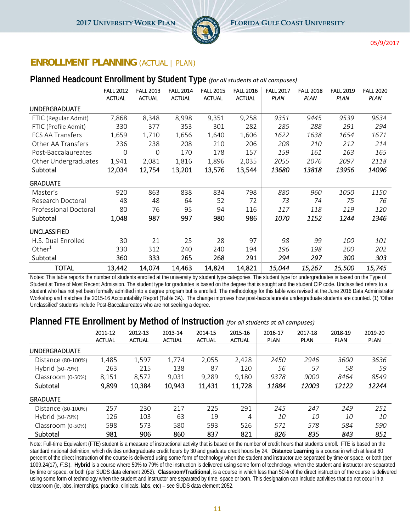

#### **ENROLLMENT PLANNING** (ACTUAL | *PLAN*)

#### **Planned Headcount Enrollment by Student Type** *(for all students at all campuses)*

|                       | <b>FALL 2012</b><br><b>ACTUAL</b> | <b>FALL 2013</b><br><b>ACTUAL</b> | <b>FALL 2014</b><br><b>ACTUAL</b> | <b>FALL 2015</b><br><b>ACTUAL</b> | <b>FALL 2016</b><br><b>ACTUAL</b> | <b>FALL 2017</b><br><b>PLAN</b> | <b>FALL 2018</b><br><b>PLAN</b> | <b>FALL 2019</b><br><b>PLAN</b> | <b>FALL 2020</b><br><b>PLAN</b> |
|-----------------------|-----------------------------------|-----------------------------------|-----------------------------------|-----------------------------------|-----------------------------------|---------------------------------|---------------------------------|---------------------------------|---------------------------------|
| <b>UNDERGRADUATE</b>  |                                   |                                   |                                   |                                   |                                   |                                 |                                 |                                 |                                 |
| FTIC (Regular Admit)  | 7,868                             | 8,348                             | 8,998                             | 9,351                             | 9,258                             | 9351                            | 9445                            | 9539                            | 9634                            |
| FTIC (Profile Admit)  | 330                               | 377                               | 353                               | 301                               | 282                               | 285                             | 288                             | 291                             | 294                             |
| FCS AA Transfers      | 1,659                             | 1,710                             | 1,656                             | 1,640                             | 1,606                             | 1622                            | 1638                            | 1654                            | 1671                            |
| Other AA Transfers    | 236                               | 238                               | 208                               | 210                               | 206                               | 208                             | 210                             | 212                             | 214                             |
| Post-Baccalaureates   | $\Omega$                          | 0                                 | 170                               | 178                               | 157                               | 159                             | 161                             | 163                             | 165                             |
| Other Undergraduates  | 1,941                             | 2,081                             | 1,816                             | 1,896                             | 2,035                             | 2055                            | 2076                            | 2097                            | 2118                            |
| Subtotal              | 12,034                            | 12,754                            | 13,201                            | 13,576                            | 13,544                            | 13680                           | 13818                           | 13956                           | 14096                           |
| <b>GRADUATE</b>       |                                   |                                   |                                   |                                   |                                   |                                 |                                 |                                 |                                 |
| Master's              | 920                               | 863                               | 838                               | 834                               | 798                               | 880                             | 960                             | 1050                            | 1150                            |
| Research Doctoral     | 48                                | 48                                | 64                                | 52                                | 72                                | 73                              | 74                              | 75                              | 76                              |
| Professional Doctoral | 80                                | 76                                | 95                                | 94                                | 116                               | 117                             | 118                             | 119                             | 120                             |
| Subtotal              | 1,048                             | 987                               | 997                               | 980                               | 986                               | <i>1070</i>                     | 1152                            | 1244                            | 1346                            |
| <b>UNCLASSIFIED</b>   |                                   |                                   |                                   |                                   |                                   |                                 |                                 |                                 |                                 |
| H.S. Dual Enrolled    | 30                                | 21                                | 25                                | 28                                | 97                                | 98                              | 99                              | 100                             | 101                             |
| Other $1$             | 330                               | 312                               | 240                               | 240                               | 194                               | 196                             | 198                             | 200                             | 202                             |
| Subtotal              | 360                               | 333                               | 265                               | 268                               | 291                               | 294                             | 297                             | 300                             | 303                             |
| <b>TOTAL</b>          | 13,442                            | 14,074                            | 14,463                            | 14,824                            | 14,821                            | 15,044                          | 15,267                          | <i>15,500</i>                   | 15,745                          |

Notes: This table reports the number of students enrolled at the university by student type categories. The student type for undergraduates is based on the Type of Student at Time of Most Recent Admission. The student type for graduates is based on the degree that is sought and the student CIP code. Unclassified refers to a student who has not yet been formally admitted into a degree program but is enrolled. The methodology for this table was revised at the June 2016 Data Administrator Workshop and matches the 2015-16 Accountability Report (Table 3A). The change improves how post-baccalaureate undergraduate students are counted. (1) 'Other Unclassified' students include Post-Baccalaureates who are not seeking a degree.

#### **Planned FTE Enrollment by Method of Instruction** *(for all students at all campuses)*

|                      | 2011-12<br><b>ACTUAL</b> | 2012-13<br><b>ACTUAL</b> | 2013-14<br><b>ACTUAL</b> | 2014-15<br><b>ACTUAL</b> | 2015-16<br><b>ACTUAL</b> | 2016-17<br><b>PLAN</b> | 2017-18<br><b>PLAN</b> | 2018-19<br><b>PLAN</b> | 2019-20<br><b>PLAN</b> |
|----------------------|--------------------------|--------------------------|--------------------------|--------------------------|--------------------------|------------------------|------------------------|------------------------|------------------------|
| <b>UNDERGRADUATE</b> |                          |                          |                          |                          |                          |                        |                        |                        |                        |
| Distance (80-100%)   | 1,485                    | 1,597                    | 1,774                    | 2,055                    | 2,428                    | 2450                   | 2946                   | 3600                   | 3636                   |
| Hybrid (50-79%)      | 263                      | 215                      | 138                      | 87                       | 120                      | 56                     | 57                     | 58                     | 59                     |
| Classroom (0-50%)    | 8,151                    | 8,572                    | 9.031                    | 9,289                    | 9,180                    | 9378                   | 9000                   | 8464                   | 8549                   |
| Subtotal             | 9,899                    | 10,384                   | 10,943                   | 11,431                   | 11,728                   | 11884                  | 12003                  | 12122                  | 12244                  |
| <b>GRADUATE</b>      |                          |                          |                          |                          |                          |                        |                        |                        |                        |
| Distance (80-100%)   | 257                      | 230                      | 217                      | 225                      | 291                      | 245                    | 247                    | 249                    | 251                    |
| Hybrid (50-79%)      | 126                      | 103                      | 63                       | 19                       | 4                        | 10                     | 10                     | 10                     | 10                     |
| Classroom (0-50%)    | 598                      | 573                      | 580                      | 593                      | 526                      | 571                    | 578                    | 584                    | 590                    |
| Subtotal             | 981                      | 906                      | 860                      | 837                      | 821                      | 826                    | 835                    | 843                    | 851                    |

Note: Full-time Equivalent (FTE) student is a measure of instructional activity that is based on the number of credit hours that students enroll. FTE is based on the standard national definition, which divides undergraduate credit hours by 30 and graduate credit hours by 24. **Distance Learning** is a course in which at least 80 percent of the direct instruction of the course is delivered using some form of technology when the student and instructor are separated by time or space, or both (per 1009.24(17), *F.S.*). **Hybrid** is a course where 50% to 79% of the instruction is delivered using some form of technology, when the student and instructor are separated by time or space, or both (per SUDS data element 2052). **Classroom**/**Traditional**, is a course in which less than 50% of the direct instruction of the course is delivered using some form of technology when the student and instructor are separated by time, space or both. This designation can include activities that do not occur in a classroom (ie, labs, internships, practica, clinicals, labs, etc) – see SUDS data element 2052.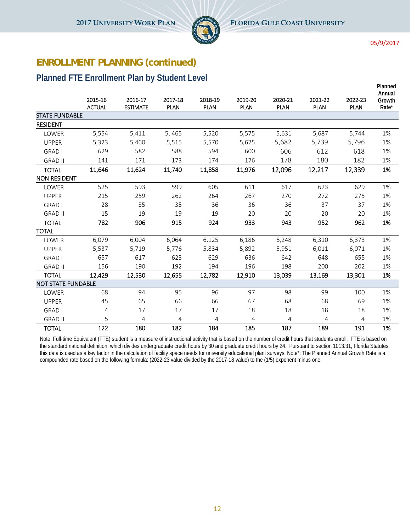

**Planned**

#### **ENROLLMENT PLANNING (continued)**

#### **Planned FTE Enrollment Plan by Student Level**

|                           | 2015-16       | 2016-17         | 2017-18     | 2018-19     | 2019-20     | 2020-21     | 2021-22     | 2022-23     | Annual<br>Growth |
|---------------------------|---------------|-----------------|-------------|-------------|-------------|-------------|-------------|-------------|------------------|
|                           | <b>ACTUAL</b> | <b>ESTIMATE</b> | <b>PLAN</b> | <b>PLAN</b> | <b>PLAN</b> | <b>PLAN</b> | <b>PLAN</b> | <b>PLAN</b> | Rate*            |
| <b>STATE FUNDABLE</b>     |               |                 |             |             |             |             |             |             |                  |
| <b>RESIDENT</b>           |               |                 |             |             |             |             |             |             |                  |
| LOWER                     | 5,554         | 5,411           | 5,465       | 5,520       | 5,575       | 5,631       | 5,687       | 5.744       | 1%               |
| <b>UPPER</b>              | 5,323         | 5,460           | 5,515       | 5,570       | 5,625       | 5,682       | 5,739       | 5,796       | 1%               |
| <b>GRAD I</b>             | 629           | 582             | 588         | 594         | 600         | 606         | 612         | 618         | 1%               |
| <b>GRAD II</b>            | 141           | 171             | 173         | 174         | 176         | 178         | 180         | 182         | 1%               |
| <b>TOTAL</b>              | 11,646        | 11,624          | 11,740      | 11,858      | 11,976      | 12,096      | 12,217      | 12,339      | 1%               |
| <b>NON RESIDENT</b>       |               |                 |             |             |             |             |             |             |                  |
| LOWER                     | 525           | 593             | 599         | 605         | 611         | 617         | 623         | 629         | 1%               |
| <b>UPPER</b>              | 215           | 259             | 262         | 264         | 267         | 270         | 272         | 275         | 1%               |
| <b>GRAD I</b>             | 28            | 35              | 35          | 36          | 36          | 36          | 37          | 37          | 1%               |
| <b>GRAD II</b>            | 15            | 19              | 19          | 19          | 20          | 20          | 20          | 20          | 1%               |
| <b>TOTAL</b>              | 782           | 906             | 915         | 924         | 933         | 943         | 952         | 962         | 1%               |
| <b>TOTAL</b>              |               |                 |             |             |             |             |             |             |                  |
| LOWER                     | 6,079         | 6,004           | 6,064       | 6,125       | 6,186       | 6,248       | 6,310       | 6,373       | 1%               |
| <b>UPPER</b>              | 5,537         | 5,719           | 5,776       | 5,834       | 5,892       | 5,951       | 6,011       | 6,071       | 1%               |
| <b>GRAD I</b>             | 657           | 617             | 623         | 629         | 636         | 642         | 648         | 655         | 1%               |
| <b>GRAD II</b>            | 156           | 190             | 192         | 194         | 196         | 198         | 200         | 202         | 1%               |
| <b>TOTAL</b>              | 12,429        | 12,530          | 12,655      | 12,782      | 12,910      | 13,039      | 13,169      | 13,301      | 1%               |
| <b>NOT STATE FUNDABLE</b> |               |                 |             |             |             |             |             |             |                  |
| LOWER                     | 68            | 94              | 95          | 96          | 97          | 98          | 99          | 100         | 1%               |
| <b>UPPER</b>              | 45            | 65              | 66          | 66          | 67          | 68          | 68          | 69          | 1%               |
| <b>GRAD I</b>             | 4             | 17              | 17          | 17          | 18          | 18          | 18          | 18          | 1%               |
| <b>GRAD II</b>            | 5             | 4               | 4           | 4           | 4           | 4           | 4           | 4           | 1%               |
| <b>TOTAL</b>              | 122           | 180             | 182         | 184         | 185         | 187         | 189         | 191         | 1%               |

Note: Full-time Equivalent (FTE) student is a measure of instructional activity that is based on the number of credit hours that students enroll. FTE is based on the standard national definition, which divides undergraduate credit hours by 30 and graduate credit hours by 24. Pursuant to section 1013.31, Florida Statutes, this data is used as a key factor in the calculation of facility space needs for university educational plant surveys. Note\*: The Planned Annual Growth Rate is a compounded rate based on the following formula: (2022-23 value divided by the 2017-18 value) to the (1/5) exponent minus one.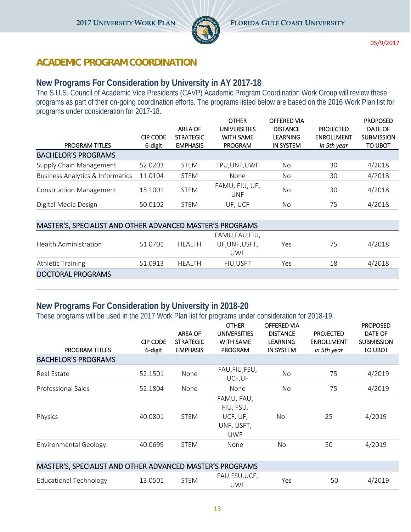

#### **ACADEMIC PROGRAM COORDINATION**

#### **New Programs For Consideration by University in AY 2017-18**

The S.U.S. Council of Academic Vice Presidents (CAVP) Academic Program Coordination Work Group will review these programs as part of their on-going coordination efforts. The programs listed below are based on the 2016 Work Plan list for programs under consideration for 2017-18.

|                                             |                 |                  | <b>OTHER</b>                 | <b>OFFERED VIA</b> |                   | <b>PROPOSED</b>   |
|---------------------------------------------|-----------------|------------------|------------------------------|--------------------|-------------------|-------------------|
|                                             |                 | <b>AREA OF</b>   | <b>UNIVERSITIES</b>          | <b>DISTANCE</b>    | <b>PROJECTED</b>  | DATE OF           |
|                                             | <b>CIP CODE</b> | <b>STRATEGIC</b> | <b>WITH SAME</b>             | <b>LEARNING</b>    | <b>ENROLLMENT</b> | <b>SUBMISSION</b> |
| <b>PROGRAM TITLES</b>                       | 6-digit         | <b>EMPHASIS</b>  | <b>PROGRAM</b>               | <b>IN SYSTEM</b>   | in 5th year       | <b>TO UBOT</b>    |
| <b>BACHELOR'S PROGRAMS</b>                  |                 |                  |                              |                    |                   |                   |
| Supply Chain Management                     | 52.0203         | <b>STEM</b>      | FPU, UNF, UWF                | No                 | 30                | 4/2018            |
| <b>Business Analytics &amp; Informatics</b> | 11.0104         | <b>STEM</b>      | None                         | No                 | 30                | 4/2018            |
| <b>Construction Management</b>              | 15.1001         | <b>STEM</b>      | FAMU, FIU, UF,<br><b>UNF</b> | N <sub>o</sub>     | 30                | 4/2018            |
| Digital Media Design                        | 50.0102         | <b>STEM</b>      | UF, UCF                      | No                 | 75                | 4/2018            |

| MASTER'S, SPECIALIST AND OTHER ADVANCED MASTER'S PROGRAMS |         |         |                 |     |    |        |  |  |  |  |
|-----------------------------------------------------------|---------|---------|-----------------|-----|----|--------|--|--|--|--|
|                                                           |         |         | FAMU, FAU, FIU, |     |    |        |  |  |  |  |
| <b>Health Administration</b>                              | 51.0701 | HFAI TH | UF,UNF,USFT,    | Yes | 75 | 4/2018 |  |  |  |  |
|                                                           |         |         | UWF             |     |    |        |  |  |  |  |
| <b>Athletic Training</b>                                  | 51.0913 | HEALTH  | <b>FIU.USFT</b> | Yes | 18 | 4/2018 |  |  |  |  |
| <b>DOCTORAL PROGRAMS</b>                                  |         |         |                 |     |    |        |  |  |  |  |

#### **New Programs For Consideration by University in 2018-20**

These programs will be used in the 2017 Work Plan list for programs under consideration for 2018-19.

| <b>PROGRAM TITLES</b>                                     | <b>CIP CODE</b><br>6-digit | <b>AREA OF</b><br><b>STRATEGIC</b><br><b>EMPHASIS</b> | <b>OTHER</b><br><b>UNIVERSITIES</b><br><b>WITH SAME</b><br><b>PROGRAM</b> | <b>OFFERED VIA</b><br><b>DISTANCE</b><br><b>LEARNING</b><br><b>IN SYSTEM</b> | <b>PROJECTED</b><br><b>ENROLLMENT</b><br>in 5th year | <b>PROPOSED</b><br>DATE OF<br><b>SUBMISSION</b><br>TO UBOT |
|-----------------------------------------------------------|----------------------------|-------------------------------------------------------|---------------------------------------------------------------------------|------------------------------------------------------------------------------|------------------------------------------------------|------------------------------------------------------------|
| <b>BACHELOR'S PROGRAMS</b>                                |                            |                                                       |                                                                           |                                                                              |                                                      |                                                            |
| Real Estate                                               | 52.1501                    | None                                                  | FAU, FIU, FSU,<br>UCF.UF                                                  | No.                                                                          | 75                                                   | 4/2019                                                     |
| <b>Professional Sales</b>                                 | 52.1804                    | None                                                  | None                                                                      | No.                                                                          | 75                                                   | 4/2019                                                     |
| Physics                                                   | 40.0801                    | <b>STEM</b>                                           | FAMU, FAU,<br>FIU, FSU,<br>UCF, UF,<br>UNF, USFT,<br><b>UWF</b>           | No <sup>'</sup>                                                              | 25                                                   | 4/2019                                                     |
| <b>Environmental Geology</b>                              | 40.0699                    | <b>STEM</b>                                           | None                                                                      | No.                                                                          | 50                                                   | 4/2019                                                     |
|                                                           |                            |                                                       |                                                                           |                                                                              |                                                      |                                                            |
| MASTER'S, SPECIALIST AND OTHER ADVANCED MASTER'S PROGRAMS |                            |                                                       |                                                                           |                                                                              |                                                      |                                                            |
| <b>Educational Technology</b>                             | 13.0501                    | <b>STEM</b>                                           | FAU, FSU, UCF,<br><b>UWF</b>                                              | Yes                                                                          | 50                                                   | 4/2019                                                     |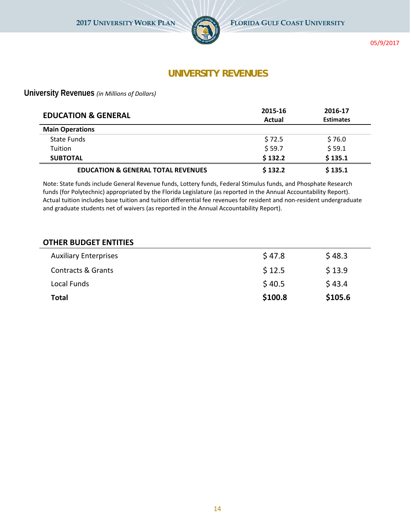

#### **UNIVERSITY REVENUES**

**University Revenues** *(in Millions of Dollars)*

| <b>EDUCATION &amp; GENERAL</b>                | 2015-16<br>Actual | 2016-17<br><b>Estimates</b> |
|-----------------------------------------------|-------------------|-----------------------------|
| <b>Main Operations</b>                        |                   |                             |
| State Funds                                   | \$72.5            | \$76.0                      |
| <b>Tuition</b>                                | \$59.7            | \$59.1                      |
| <b>SUBTOTAL</b>                               | \$132.2           | \$135.1                     |
| <b>EDUCATION &amp; GENERAL TOTAL REVENUES</b> | \$132.2           | \$135.1                     |

Note: State funds include General Revenue funds, Lottery funds, Federal Stimulus funds, and Phosphate Research funds (for Polytechnic) appropriated by the Florida Legislature (as reported in the Annual Accountability Report). Actual tuition includes base tuition and tuition differential fee revenues for resident and non-resident undergraduate and graduate students net of waivers (as reported in the Annual Accountability Report).

#### **OTHER BUDGET ENTITIES**

| <b>Auxiliary Enterprises</b>  | \$47.8  | \$48.3  |
|-------------------------------|---------|---------|
| <b>Contracts &amp; Grants</b> | \$12.5  | \$13.9  |
| Local Funds                   | \$40.5  | \$43.4  |
| <b>Total</b>                  | \$100.8 | \$105.6 |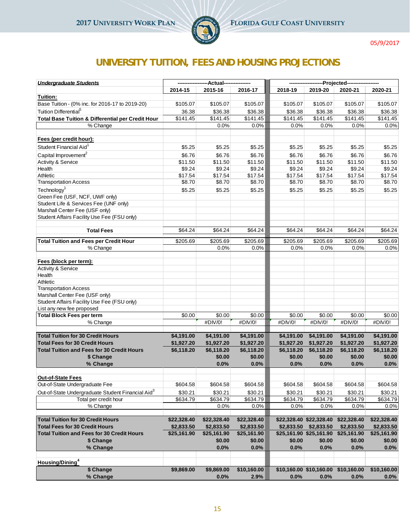

# **UNIVERSITY TUITION, FEES AND HOUSING PROJECTIONS**

| <b>Undergraduate Students</b>                                            |             | -Actual-    |                      |            |                         | -Projected---                       |                      |
|--------------------------------------------------------------------------|-------------|-------------|----------------------|------------|-------------------------|-------------------------------------|----------------------|
|                                                                          | 2014-15     | 2015-16     | 2016-17              | 2018-19    | 2019-20                 | 2020-21                             | 2020-21              |
| Tuition:                                                                 |             |             |                      |            |                         |                                     |                      |
| Base Tuition - (0% inc. for 2016-17 to 2019-20)                          | \$105.07    | \$105.07    | \$105.07             | \$105.07   | \$105.07                | \$105.07                            | \$105.07             |
| Tuition Differential <sup>5</sup>                                        | 36.38       | \$36.38     | \$36.38              | \$36.38    | \$36.38                 | \$36.38                             | \$36.38              |
| <b>Total Base Tuition &amp; Differential per Credit Hour</b>             | \$141.45    | \$141.45    | \$141.45             | \$141.45   | \$141.45                | \$141.45                            | $\overline{$}141.45$ |
| % Change                                                                 |             | 0.0%        | 0.0%                 | 0.0%       | 0.0%                    | 0.0%                                | 0.0%                 |
|                                                                          |             |             |                      |            |                         |                                     |                      |
| Fees (per credit hour):                                                  |             |             |                      |            |                         |                                     |                      |
| Student Financial Aid <sup>1</sup>                                       | \$5.25      | \$5.25      | \$5.25               | \$5.25     | \$5.25                  | \$5.25                              | \$5.25               |
| Capital Improvement <sup>2</sup>                                         | \$6.76      | \$6.76      | \$6.76               | \$6.76     | \$6.76                  | \$6.76                              | \$6.76               |
| Activity & Service                                                       | \$11.50     | \$11.50     | \$11.50              | \$11.50    | \$11.50                 | \$11.50                             | \$11.50              |
| Health                                                                   | \$9.24      | \$9.24      | \$9.24               | \$9.24     | \$9.24                  | \$9.24                              | \$9.24               |
| Athletic                                                                 | \$17.54     | \$17.54     | \$17.54              | \$17.54    | \$17.54                 | \$17.54                             | \$17.54              |
| <b>Transportation Access</b>                                             | \$8.70      | \$8.70      | \$8.70               | \$8.70     | \$8.70                  | \$8.70                              | \$8.70               |
| Technology <sup>1</sup>                                                  | \$5.25      | \$5.25      | \$5.25               | \$5.25     | \$5.25                  | \$5.25                              | \$5.25               |
| Green Fee (USF, NCF, UWF only)                                           |             |             |                      |            |                         |                                     |                      |
| Student Life & Services Fee (UNF only)                                   |             |             |                      |            |                         |                                     |                      |
| Marshall Center Fee (USF only)                                           |             |             |                      |            |                         |                                     |                      |
| Student Affairs Facility Use Fee (FSU only)                              |             |             |                      |            |                         |                                     |                      |
| <b>Total Fees</b>                                                        | \$64.24     | \$64.24     | \$64.24              | \$64.24    | \$64.24                 | \$64.24                             | \$64.24              |
|                                                                          |             |             |                      |            |                         |                                     |                      |
| <b>Total Tuition and Fees per Credit Hour</b>                            | \$205.69    | \$205.69    | $\overline{$}205.69$ | \$205.69   | $\overline{$}205.69$    | \$205.69                            | \$205.69             |
| % Change                                                                 |             | 0.0%        | 0.0%                 | 0.0%       | 0.0%                    | 0.0%                                | 0.0%                 |
|                                                                          |             |             |                      |            |                         |                                     |                      |
| Fees (block per term):                                                   |             |             |                      |            |                         |                                     |                      |
| Activity & Service                                                       |             |             |                      |            |                         |                                     |                      |
| Health                                                                   |             |             |                      |            |                         |                                     |                      |
| Athletic                                                                 |             |             |                      |            |                         |                                     |                      |
| <b>Transportation Access</b>                                             |             |             |                      |            |                         |                                     |                      |
| Marshall Center Fee (USF only)                                           |             |             |                      |            |                         |                                     |                      |
| Student Affairs Facility Use Fee (FSU only)<br>List any new fee proposed |             |             |                      |            |                         |                                     |                      |
| <b>Total Block Fees per term</b>                                         | \$0.00      | \$0.00      | \$0.00               | \$0.00     | \$0.00                  | \$0.00                              | \$0.00               |
| % Change                                                                 |             | #DIV/0!     | #DIV/0!              | #DIV/0!    | #DIV/0!                 | #DIV/0!                             | #DIV/0!              |
|                                                                          |             |             |                      |            |                         |                                     |                      |
| <b>Total Tuition for 30 Credit Hours</b>                                 | \$4,191.00  | \$4,191.00  | \$4,191.00           | \$4,191.00 | \$4,191.00              | \$4,191.00                          | \$4,191.00           |
| <b>Total Fees for 30 Credit Hours</b>                                    | \$1,927.20  | \$1,927.20  | \$1,927.20           | \$1,927.20 | \$1,927.20              | \$1,927.20                          | \$1,927.20           |
| <b>Total Tuition and Fees for 30 Credit Hours</b>                        | \$6,118.20  | \$6,118.20  | \$6,118.20           | \$6,118.20 | \$6,118.20              | \$6,118.20                          | \$6,118.20           |
| \$ Change                                                                |             | \$0.00      | \$0.00               | \$0.00     | \$0.00                  | \$0.00                              | \$0.00               |
| % Change                                                                 |             | 0.0%        | 0.0%                 | 0.0%       | 0.0%                    | 0.0%                                | 0.0%                 |
|                                                                          |             |             |                      |            |                         |                                     |                      |
| Out-of-State Fees                                                        |             |             |                      |            |                         |                                     |                      |
| Out-of-State Undergraduate Fee                                           | \$604.58    | \$604.58    | \$604.58             | \$604.58   | \$604.58                | \$604.58                            | \$604.58             |
| Out-of-State Undergraduate Student Financial Aid <sup>3</sup>            | \$30.21     | \$30.21     | \$30.21              | \$30.21    | \$30.21                 | \$30.21                             | \$30.21              |
| Total per credit hour                                                    | \$634.79    | \$634.79    | \$634.79             | \$634.79   | \$634.79                | \$634.79                            | \$634.79             |
| % Change                                                                 |             | 0.0%        | 0.0%                 | 0.0%       | 0.0%                    | 0.0%                                | 0.0%                 |
| <b>Total Tuition for 30 Credit Hours</b>                                 | \$22,328.40 | \$22,328.40 | \$22,328.40          |            | \$22,328.40 \$22,328.40 | \$22,328.40                         | \$22,328.40          |
| <b>Total Fees for 30 Credit Hours</b>                                    | \$2,833.50  | \$2,833.50  | \$2,833.50           | \$2,833.50 | \$2,833.50              | \$2,833.50                          | \$2,833.50           |
| <b>Total Tuition and Fees for 30 Credit Hours</b>                        | \$25,161.90 | \$25,161.90 | \$25,161.90          |            | \$25,161.90 \$25,161.90 | \$25,161.90                         | \$25,161.90          |
| \$ Change                                                                |             | \$0.00      | \$0.00               | \$0.00     | \$0.00                  | \$0.00                              | \$0.00               |
| % Change                                                                 |             | 0.0%        | 0.0%                 | 0.0%       | 0.0%                    | 0.0%                                | 0.0%                 |
|                                                                          |             |             |                      |            |                         |                                     |                      |
| Housing/Dining <sup>4</sup>                                              |             |             |                      |            |                         |                                     |                      |
| \$ Change                                                                | \$9,869.00  | \$9,869.00  | \$10,160.00          |            |                         | \$10,160.00 \$10,160.00 \$10,160.00 | \$10,160.00          |
| % Change                                                                 |             | 0.0%        | 2.9%                 | 0.0%       | 0.0%                    | 0.0%                                | 0.0%                 |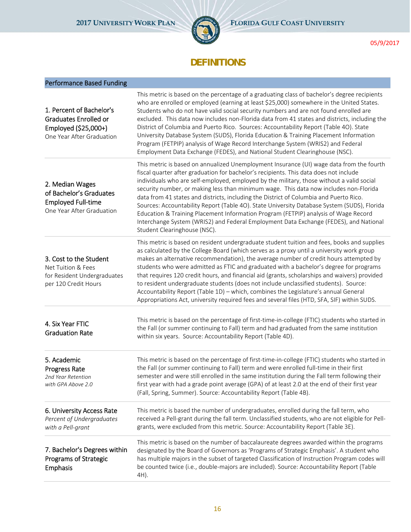

## **DEFINITIONS**

| <b>Performance Based Funding</b>                                                                       |                                                                                                                                                                                                                                                                                                                                                                                                                                                                                                                                                                                                                                                                                                                                                                                  |
|--------------------------------------------------------------------------------------------------------|----------------------------------------------------------------------------------------------------------------------------------------------------------------------------------------------------------------------------------------------------------------------------------------------------------------------------------------------------------------------------------------------------------------------------------------------------------------------------------------------------------------------------------------------------------------------------------------------------------------------------------------------------------------------------------------------------------------------------------------------------------------------------------|
| 1. Percent of Bachelor's<br>Graduates Enrolled or<br>Employed (\$25,000+)<br>One Year After Graduation | This metric is based on the percentage of a graduating class of bachelor's degree recipients<br>who are enrolled or employed (earning at least \$25,000) somewhere in the United States.<br>Students who do not have valid social security numbers and are not found enrolled are<br>excluded. This data now includes non-Florida data from 41 states and districts, including the<br>District of Columbia and Puerto Rico. Sources: Accountability Report (Table 4O). State<br>University Database System (SUDS), Florida Education & Training Placement Information<br>Program (FETPIP) analysis of Wage Record Interchange System (WRIS2) and Federal<br>Employment Data Exchange (FEDES), and National Student Clearinghouse (NSC).                                          |
| 2. Median Wages<br>of Bachelor's Graduates<br><b>Employed Full-time</b><br>One Year After Graduation   | This metric is based on annualized Unemployment Insurance (UI) wage data from the fourth<br>fiscal quarter after graduation for bachelor's recipients. This data does not include<br>individuals who are self-employed, employed by the military, those without a valid social<br>security number, or making less than minimum wage. This data now includes non-Florida<br>data from 41 states and districts, including the District of Columbia and Puerto Rico.<br>Sources: Accountability Report (Table 4O). State University Database System (SUDS), Florida<br>Education & Training Placement Information Program (FETPIP) analysis of Wage Record<br>Interchange System (WRIS2) and Federal Employment Data Exchange (FEDES), and National<br>Student Clearinghouse (NSC). |
| 3. Cost to the Student<br>Net Tuition & Fees<br>for Resident Undergraduates<br>per 120 Credit Hours    | This metric is based on resident undergraduate student tuition and fees, books and supplies<br>as calculated by the College Board (which serves as a proxy until a university work group<br>makes an alternative recommendation), the average number of credit hours attempted by<br>students who were admitted as FTIC and graduated with a bachelor's degree for programs<br>that requires 120 credit hours, and financial aid (grants, scholarships and waivers) provided<br>to resident undergraduate students (does not include unclassified students). Source:<br>Accountability Report (Table 1D) - which, combines the Legislature's annual General<br>Appropriations Act, university required fees and several files (HTD, SFA, SIF) within SUDS.                       |
| 4. Six Year FTIC<br><b>Graduation Rate</b>                                                             | This metric is based on the percentage of first-time-in-college (FTIC) students who started in<br>the Fall (or summer continuing to Fall) term and had graduated from the same institution<br>within six years. Source: Accountability Report (Table 4D).                                                                                                                                                                                                                                                                                                                                                                                                                                                                                                                        |
| 5. Academic<br><b>Progress Rate</b><br>2nd Year Retention<br>with GPA Above 2.0                        | This metric is based on the percentage of first-time-in-college (FTIC) students who started in<br>the Fall (or summer continuing to Fall) term and were enrolled full-time in their first<br>semester and were still enrolled in the same institution during the Fall term following their<br>first year with had a grade point average (GPA) of at least 2.0 at the end of their first year<br>(Fall, Spring, Summer). Source: Accountability Report (Table 4B).                                                                                                                                                                                                                                                                                                                |
| 6. University Access Rate<br>Percent of Undergraduates<br>with a Pell-grant                            | This metric is based the number of undergraduates, enrolled during the fall term, who<br>received a Pell-grant during the fall term. Unclassified students, who are not eligible for Pell-<br>grants, were excluded from this metric. Source: Accountability Report (Table 3E).                                                                                                                                                                                                                                                                                                                                                                                                                                                                                                  |
| 7. Bachelor's Degrees within<br>Programs of Strategic<br>Emphasis                                      | This metric is based on the number of baccalaureate degrees awarded within the programs<br>designated by the Board of Governors as 'Programs of Strategic Emphasis'. A student who<br>has multiple majors in the subset of targeted Classification of Instruction Program codes will<br>be counted twice (i.e., double-majors are included). Source: Accountability Report (Table<br>4H).                                                                                                                                                                                                                                                                                                                                                                                        |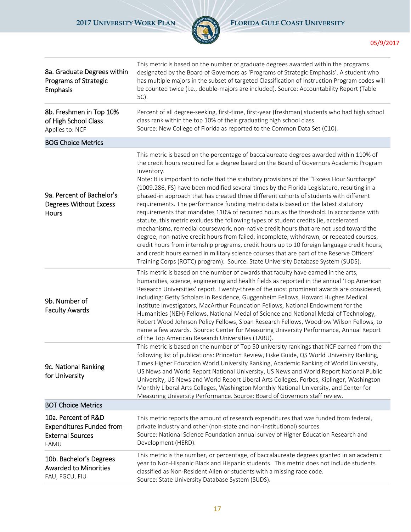

| 8a. Graduate Degrees within<br>Programs of Strategic<br>Emphasis                          | This metric is based on the number of graduate degrees awarded within the programs<br>designated by the Board of Governors as 'Programs of Strategic Emphasis'. A student who<br>has multiple majors in the subset of targeted Classification of Instruction Program codes will<br>be counted twice (i.e., double-majors are included). Source: Accountability Report (Table<br>5C).                                                                                                                                                                                                                                                                                                                                                                                                                                                                                                                                                                                                                                                                                                                                                                                                                                                 |
|-------------------------------------------------------------------------------------------|--------------------------------------------------------------------------------------------------------------------------------------------------------------------------------------------------------------------------------------------------------------------------------------------------------------------------------------------------------------------------------------------------------------------------------------------------------------------------------------------------------------------------------------------------------------------------------------------------------------------------------------------------------------------------------------------------------------------------------------------------------------------------------------------------------------------------------------------------------------------------------------------------------------------------------------------------------------------------------------------------------------------------------------------------------------------------------------------------------------------------------------------------------------------------------------------------------------------------------------|
| 8b. Freshmen in Top 10%<br>of High School Class<br>Applies to: NCF                        | Percent of all degree-seeking, first-time, first-year (freshman) students who had high school<br>class rank within the top 10% of their graduating high school class.<br>Source: New College of Florida as reported to the Common Data Set (C10).                                                                                                                                                                                                                                                                                                                                                                                                                                                                                                                                                                                                                                                                                                                                                                                                                                                                                                                                                                                    |
| <b>BOG Choice Metrics</b>                                                                 |                                                                                                                                                                                                                                                                                                                                                                                                                                                                                                                                                                                                                                                                                                                                                                                                                                                                                                                                                                                                                                                                                                                                                                                                                                      |
| 9a. Percent of Bachelor's<br><b>Degrees Without Excess</b><br>Hours                       | This metric is based on the percentage of baccalaureate degrees awarded within 110% of<br>the credit hours required for a degree based on the Board of Governors Academic Program<br>Inventory.<br>Note: It is important to note that the statutory provisions of the "Excess Hour Surcharge"<br>(1009.286, FS) have been modified several times by the Florida Legislature, resulting in a<br>phased-in approach that has created three different cohorts of students with different<br>requirements. The performance funding metric data is based on the latest statutory<br>requirements that mandates 110% of required hours as the threshold. In accordance with<br>statute, this metric excludes the following types of student credits (ie, accelerated<br>mechanisms, remedial coursework, non-native credit hours that are not used toward the<br>degree, non-native credit hours from failed, incomplete, withdrawn, or repeated courses,<br>credit hours from internship programs, credit hours up to 10 foreign language credit hours,<br>and credit hours earned in military science courses that are part of the Reserve Officers'<br>Training Corps (ROTC) program). Source: State University Database System (SUDS). |
| 9b. Number of<br><b>Faculty Awards</b>                                                    | This metric is based on the number of awards that faculty have earned in the arts,<br>humanities, science, engineering and health fields as reported in the annual 'Top American<br>Research Universities' report. Twenty-three of the most prominent awards are considered,<br>including: Getty Scholars in Residence, Guggenheim Fellows, Howard Hughes Medical<br>Institute Investigators, MacArthur Foundation Fellows, National Endowment for the<br>Humanities (NEH) Fellows, National Medal of Science and National Medal of Technology,<br>Robert Wood Johnson Policy Fellows, Sloan Research Fellows, Woodrow Wilson Fellows, to<br>name a few awards. Source: Center for Measuring University Performance, Annual Report<br>of the Top American Research Universities (TARU).                                                                                                                                                                                                                                                                                                                                                                                                                                              |
| 9c. National Ranking<br>for University                                                    | This metric is based on the number of Top 50 university rankings that NCF earned from the<br>following list of publications: Princeton Review, Fiske Guide, QS World University Ranking,<br>Times Higher Education World University Ranking, Academic Ranking of World University,<br>US News and World Report National University, US News and World Report National Public<br>University, US News and World Report Liberal Arts Colleges, Forbes, Kiplinger, Washington<br>Monthly Liberal Arts Colleges, Washington Monthly National University, and Center for<br>Measuring University Performance. Source: Board of Governors staff review.                                                                                                                                                                                                                                                                                                                                                                                                                                                                                                                                                                                     |
| <b>BOT Choice Metrics</b>                                                                 |                                                                                                                                                                                                                                                                                                                                                                                                                                                                                                                                                                                                                                                                                                                                                                                                                                                                                                                                                                                                                                                                                                                                                                                                                                      |
| 10a. Percent of R&D<br><b>Expenditures Funded from</b><br><b>External Sources</b><br>FAMU | This metric reports the amount of research expenditures that was funded from federal,<br>private industry and other (non-state and non-institutional) sources.<br>Source: National Science Foundation annual survey of Higher Education Research and<br>Development (HERD).                                                                                                                                                                                                                                                                                                                                                                                                                                                                                                                                                                                                                                                                                                                                                                                                                                                                                                                                                          |
| 10b. Bachelor's Degrees<br><b>Awarded to Minorities</b><br>FAU, FGCU, FIU                 | This metric is the number, or percentage, of baccalaureate degrees granted in an academic<br>year to Non-Hispanic Black and Hispanic students. This metric does not include students<br>classified as Non-Resident Alien or students with a missing race code.<br>Source: State University Database System (SUDS).                                                                                                                                                                                                                                                                                                                                                                                                                                                                                                                                                                                                                                                                                                                                                                                                                                                                                                                   |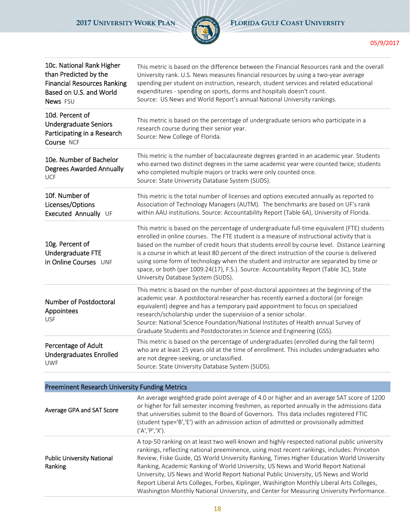

| 10c. National Rank Higher<br>than Predicted by the<br><b>Financial Resources Ranking</b><br>Based on U.S. and World<br>News FSU | This metric is based on the difference between the Financial Resources rank and the overall<br>University rank. U.S. News measures financial resources by using a two-year average<br>spending per student on instruction, research, student services and related educational<br>expenditures - spending on sports, dorms and hospitals doesn't count.<br>Source: US News and World Report's annual National University rankings.                                                                                                                                                                                    |
|---------------------------------------------------------------------------------------------------------------------------------|----------------------------------------------------------------------------------------------------------------------------------------------------------------------------------------------------------------------------------------------------------------------------------------------------------------------------------------------------------------------------------------------------------------------------------------------------------------------------------------------------------------------------------------------------------------------------------------------------------------------|
| 10d. Percent of<br><b>Undergraduate Seniors</b><br>Participating in a Research<br>Course NCF                                    | This metric is based on the percentage of undergraduate seniors who participate in a<br>research course during their senior year.<br>Source: New College of Florida.                                                                                                                                                                                                                                                                                                                                                                                                                                                 |
| 10e. Number of Bachelor<br><b>Degrees Awarded Annually</b><br><b>UCF</b>                                                        | This metric is the number of baccalaureate degrees granted in an academic year. Students<br>who earned two distinct degrees in the same academic year were counted twice; students<br>who completed multiple majors or tracks were only counted once.<br>Source: State University Database System (SUDS).                                                                                                                                                                                                                                                                                                            |
| 10f. Number of<br>Licenses/Options<br>Executed Annually UF                                                                      | This metric is the total number of licenses and options executed annually as reported to<br>Association of Technology Managers (AUTM). The benchmarks are based on UF's rank<br>within AAU institutions. Source: Accountability Report (Table 6A), University of Florida.                                                                                                                                                                                                                                                                                                                                            |
| 10g. Percent of<br>Undergraduate FTE<br>in Online Courses UNF                                                                   | This metric is based on the percentage of undergraduate full-time equivalent (FTE) students<br>enrolled in online courses. The FTE student is a measure of instructional activity that is<br>based on the number of credit hours that students enroll by course level. Distance Learning<br>is a course in which at least 80 percent of the direct instruction of the course is delivered<br>using some form of technology when the student and instructor are separated by time or<br>space, or both (per 1009.24(17), F.S.). Source: Accountability Report (Table 3C), State<br>University Database System (SUDS). |
| <b>Number of Postdoctoral</b><br>Appointees<br><b>USF</b>                                                                       | This metric is based on the number of post-doctoral appointees at the beginning of the<br>academic year. A postdoctoral researcher has recently earned a doctoral (or foreign<br>equivalent) degree and has a temporary paid appointment to focus on specialized<br>research/scholarship under the supervision of a senior scholar.<br>Source: National Science Foundation/National Institutes of Health annual Survey of<br>Graduate Students and Postdoctorates in Science and Engineering (GSS).                                                                                                                  |
| Percentage of Adult<br><b>Undergraduates Enrolled</b><br>UWF                                                                    | This metric is based on the percentage of undergraduates (enrolled during the fall term)<br>who are at least 25 years old at the time of enrollment. This includes undergraduates who<br>are not degree-seeking, or unclassified.<br>Source: State University Database System (SUDS).                                                                                                                                                                                                                                                                                                                                |
| <b>Preeminent Research University Funding Metrics</b>                                                                           |                                                                                                                                                                                                                                                                                                                                                                                                                                                                                                                                                                                                                      |
| Average GPA and SAT Score                                                                                                       | An average weighted grade point average of 4.0 or higher and an average SAT score of 1200<br>or higher for fall semester incoming freshmen, as reported annually in the admissions data<br>that universities submit to the Board of Governors. This data includes registered FTIC                                                                                                                                                                                                                                                                                                                                    |

('A','P','X'). Public University National Ranking A top‐50 ranking on at least two well‐known and highly respected national public university rankings, reflecting national preeminence, using most recent rankings, includes: Princeton Review, Fiske Guide, QS World University Ranking, Times Higher Education World University Ranking, Academic Ranking of World University, US News and World Report National University, US News and World Report National Public University, US News and World Report Liberal Arts Colleges, Forbes, Kiplinger, Washington Monthly Liberal Arts Colleges, Washington Monthly National University, and Center for Measuring University Performance.

(student type='B','E') with an admission action of admitted or provisionally admitted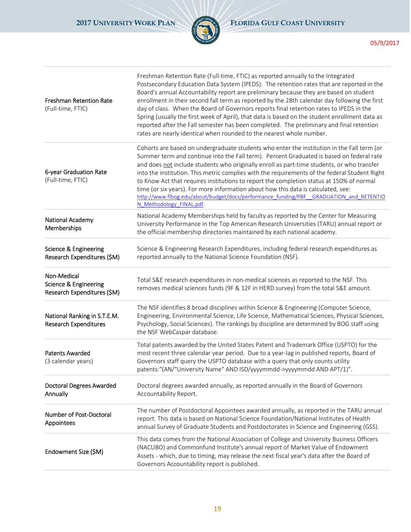

| <b>Freshman Retention Rate</b><br>(Full-time, FTIC)                            | Freshman Retention Rate (Full-time, FTIC) as reported annually to the Integrated<br>Postsecondary Education Data System (IPEDS). The retention rates that are reported in the<br>Board's annual Accountability report are preliminary because they are based on student<br>enrollment in their second fall term as reported by the 28th calendar day following the first<br>day of class. When the Board of Governors reports final retention rates to IPEDS in the<br>Spring (usually the first week of April), that data is based on the student enrollment data as<br>reported after the Fall semester has been completed. The preliminary and final retention<br>rates are nearly identical when rounded to the nearest whole number. |
|--------------------------------------------------------------------------------|-------------------------------------------------------------------------------------------------------------------------------------------------------------------------------------------------------------------------------------------------------------------------------------------------------------------------------------------------------------------------------------------------------------------------------------------------------------------------------------------------------------------------------------------------------------------------------------------------------------------------------------------------------------------------------------------------------------------------------------------|
| 6-year Graduation Rate<br>(Full-time, FTIC)                                    | Cohorts are based on undergraduate students who enter the institution in the Fall term (or<br>Summer term and continue into the Fall term). Percent Graduated is based on federal rate<br>and does not include students who originally enroll as part-time students, or who transfer<br>into the institution. This metric complies with the requirements of the federal Student Right<br>to Know Act that requires institutions to report the completion status at 150% of normal<br>time (or six years). For more information about how this data is calculated, see:<br>http://www.flbog.edu/about/budget/docs/performance funding/PBF GRADUATION and RETENTIO<br>N Methodology FINAL.pdf.                                              |
| National Academy<br>Memberships                                                | National Academy Memberships held by faculty as reported by the Center for Measuring<br>University Performance in the Top American Research Universities (TARU) annual report or<br>the official membership directories maintained by each national academy.                                                                                                                                                                                                                                                                                                                                                                                                                                                                              |
| <b>Science &amp; Engineering</b><br>Research Expenditures (\$M)                | Science & Engineering Research Expenditures, including federal research expenditures as<br>reported annually to the National Science Foundation (NSF).                                                                                                                                                                                                                                                                                                                                                                                                                                                                                                                                                                                    |
| Non-Medical<br><b>Science &amp; Engineering</b><br>Research Expenditures (\$M) | Total S&E research expenditures in non-medical sciences as reported to the NSF. This<br>removes medical sciences funds (9F & 12F in HERD survey) from the total S&E amount.                                                                                                                                                                                                                                                                                                                                                                                                                                                                                                                                                               |
| National Ranking in S.T.E.M.<br>Research Expenditures                          | The NSF identifies 8 broad disciplines within Science & Engineering (Computer Science,<br>Engineering, Environmental Science, Life Science, Mathematical Sciences, Physical Sciences,<br>Psychology, Social Sciences). The rankings by discipline are determined by BOG staff using<br>the NSF WebCaspar database.                                                                                                                                                                                                                                                                                                                                                                                                                        |
| <b>Patents Awarded</b><br>(3 calendar years)                                   | Total patents awarded by the United States Patent and Trademark Office (USPTO) for the<br>most recent three calendar year period. Due to a year-lag in published reports, Board of<br>Governors staff query the USPTO database with a query that only counts utility<br>patents:"(AN/"University Name" AND ISD/yyyymmdd->yyyymmdd AND APT/1)".                                                                                                                                                                                                                                                                                                                                                                                            |
| Doctoral Degrees Awarded<br>Annually                                           | Doctoral degrees awarded annually, as reported annually in the Board of Governors<br>Accountability Report.                                                                                                                                                                                                                                                                                                                                                                                                                                                                                                                                                                                                                               |
| Number of Post-Doctoral<br>Appointees                                          | The number of Postdoctoral Appointees awarded annually, as reported in the TARU annual<br>report. This data is based on National Science Foundation/National Institutes of Health<br>annual Survey of Graduate Students and Postdoctorates in Science and Engineering (GSS).                                                                                                                                                                                                                                                                                                                                                                                                                                                              |
| Endowment Size (\$M)                                                           | This data comes from the National Association of College and University Business Officers<br>(NACUBO) and Commonfund Institute's annual report of Market Value of Endowment<br>Assets - which, due to timing, may release the next fiscal year's data after the Board of<br>Governors Accountability report is published.                                                                                                                                                                                                                                                                                                                                                                                                                 |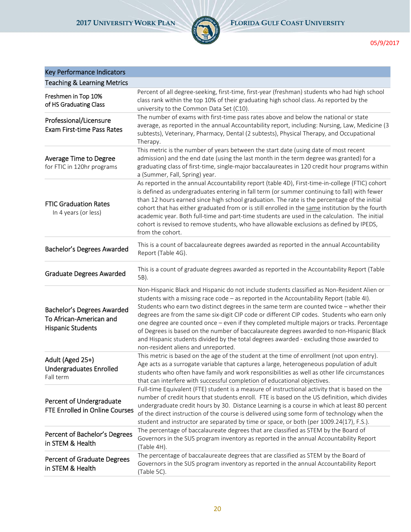

# Key Performance Indicators

| <b>Teaching &amp; Learning Metrics</b>                                            |                                                                                                                                                                                                                                                                                                                                                                                                                                                                                                                                                                                                                                                                                                                 |
|-----------------------------------------------------------------------------------|-----------------------------------------------------------------------------------------------------------------------------------------------------------------------------------------------------------------------------------------------------------------------------------------------------------------------------------------------------------------------------------------------------------------------------------------------------------------------------------------------------------------------------------------------------------------------------------------------------------------------------------------------------------------------------------------------------------------|
| Freshmen in Top 10%<br>of HS Graduating Class                                     | Percent of all degree-seeking, first-time, first-year (freshman) students who had high school<br>class rank within the top 10% of their graduating high school class. As reported by the<br>university to the Common Data Set (C10).                                                                                                                                                                                                                                                                                                                                                                                                                                                                            |
| Professional/Licensure<br><b>Exam First-time Pass Rates</b>                       | The number of exams with first-time pass rates above and below the national or state<br>average, as reported in the annual Accountability report, including: Nursing, Law, Medicine (3<br>subtests), Veterinary, Pharmacy, Dental (2 subtests), Physical Therapy, and Occupational<br>Therapy.                                                                                                                                                                                                                                                                                                                                                                                                                  |
| Average Time to Degree<br>for FTIC in 120hr programs                              | This metric is the number of years between the start date (using date of most recent<br>admission) and the end date (using the last month in the term degree was granted) for a<br>graduating class of first-time, single-major baccalaureates in 120 credit hour programs within<br>a (Summer, Fall, Spring) year.                                                                                                                                                                                                                                                                                                                                                                                             |
| <b>FTIC Graduation Rates</b><br>In 4 years (or less)                              | As reported in the annual Accountability report (table 4D), First-time-in-college (FTIC) cohort<br>is defined as undergraduates entering in fall term (or summer continuing to fall) with fewer<br>than 12 hours earned since high school graduation. The rate is the percentage of the initial<br>cohort that has either graduated from or is still enrolled in the same institution by the fourth<br>academic year. Both full-time and part-time students are used in the calculation. The initial<br>cohort is revised to remove students, who have allowable exclusions as defined by IPEDS,<br>from the cohort.                                                                                            |
| Bachelor's Degrees Awarded                                                        | This is a count of baccalaureate degrees awarded as reported in the annual Accountability<br>Report (Table 4G).                                                                                                                                                                                                                                                                                                                                                                                                                                                                                                                                                                                                 |
| <b>Graduate Degrees Awarded</b>                                                   | This is a count of graduate degrees awarded as reported in the Accountability Report (Table<br>5B).                                                                                                                                                                                                                                                                                                                                                                                                                                                                                                                                                                                                             |
| Bachelor's Degrees Awarded<br>To African-American and<br><b>Hispanic Students</b> | Non-Hispanic Black and Hispanic do not include students classified as Non-Resident Alien or<br>students with a missing race code - as reported in the Accountability Report (table 4I).<br>Students who earn two distinct degrees in the same term are counted twice - whether their<br>degrees are from the same six-digit CIP code or different CIP codes. Students who earn only<br>one degree are counted once - even if they completed multiple majors or tracks. Percentage<br>of Degrees is based on the number of baccalaureate degrees awarded to non-Hispanic Black<br>and Hispanic students divided by the total degrees awarded - excluding those awarded to<br>non-resident aliens and unreported. |
| Adult (Aged 25+)<br><b>Undergraduates Enrolled</b><br>Fall term                   | This metric is based on the age of the student at the time of enrollment (not upon entry).<br>Age acts as a surrogate variable that captures a large, heterogeneous population of adult<br>students who often have family and work responsibilities as well as other life circumstances<br>that can interfere with successful completion of educational objectives.                                                                                                                                                                                                                                                                                                                                             |
| Percent of Undergraduate<br>FTE Enrolled in Online Courses                        | Full-time Equivalent (FTE) student is a measure of instructional activity that is based on the<br>number of credit hours that students enroll. FTE is based on the US definition, which divides<br>undergraduate credit hours by 30. Distance Learning is a course in which at least 80 percent<br>of the direct instruction of the course is delivered using some form of technology when the<br>student and instructor are separated by time or space, or both (per 1009.24(17), F.S.).                                                                                                                                                                                                                       |
| Percent of Bachelor's Degrees<br>in STEM & Health                                 | The percentage of baccalaureate degrees that are classified as STEM by the Board of<br>Governors in the SUS program inventory as reported in the annual Accountability Report<br>(Table 4H).                                                                                                                                                                                                                                                                                                                                                                                                                                                                                                                    |
| Percent of Graduate Degrees<br>in STEM & Health                                   | The percentage of baccalaureate degrees that are classified as STEM by the Board of<br>Governors in the SUS program inventory as reported in the annual Accountability Report<br>(Table 5C).                                                                                                                                                                                                                                                                                                                                                                                                                                                                                                                    |